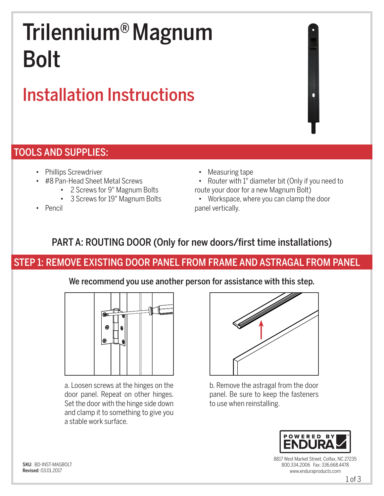# Trilennium® Magnum Bolt

## Installation Instructions

#### TOOLS AND SUPPLIES:

- Phillips Screwdriver
- #8 Pan-Head Sheet Metal Screws
	- 2 Screws for 9" Magnum Bolts
	- 3 Screws for 19" Magnum Bolts
- Pencil
- Measuring tape
- Router with 1" diameter bit (Only if you need to route your door for a new Magnum Bolt)
- Workspace, where you can clamp the door panel vertically.

#### PART A: ROUTING DOOR (Only for new doors/first time installations)

#### STEP 1: REMOVE EXISTING DOOR PANEL FROM FRAME AND ASTRAGAL FROM PANEL

We recommend you use another person for assistance with this step.



a. Loosen screws at the hinges on the door panel. Repeat on other hinges. Set the door with the hinge side down and clamp it to something to give you a stable work surface.



b. Remove the astragal from the door panel. Be sure to keep the fasteners to use when reinstalling.



8817 West Market Street, Colfax, NC 27235 800.334.2006 Fax: 336.668.4478 www.enduraproducts.com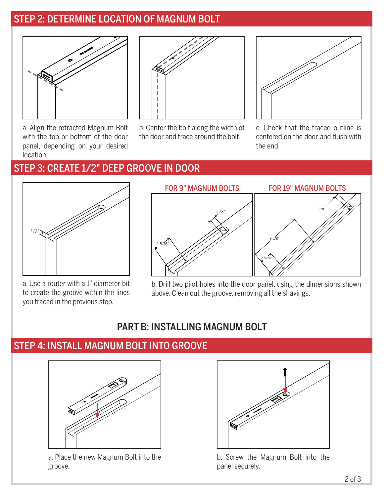#### STEP 2: DETERMINE LOCATION OF MAGNUM BOLT



a. Align the retracted Magnum Bolt with the top or bottom of the door panel, depending on your desired location.



b. Center the bolt along the width of the door and trace around the bolt.



c. Check that the traced outline is centered on the door and flush with the end.

#### STEP 3: CREATE 1/2" DEEP GROOVE IN DOOR



a. Use a router with a 1" diameter bit to create the groove within the lines you traced in the previous step.

FOR 9" MAGNUM BOLTS FOR 19" MAGNUM BOLTS



b. Drill two pilot holes into the door panel, using the dimensions shown above. Clean out the groove, removing all the shavings.

#### PART B: INSTALLING MAGNUM BOLT

#### STEP 4: INSTALL MAGNUM BOLT INTO GROOVE



a. Place the new Magnum Bolt into the groove.



b. Screw the Magnum Bolt into the panel securely.